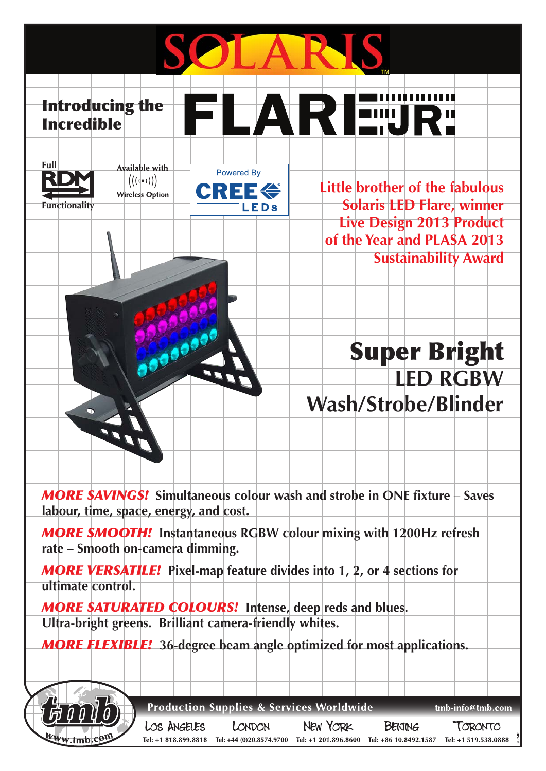Introducing the LA RIEMIRT Incredible





0000



**Little brother of the fabulous Solaris LED Flare, winner Live Design 2013 Product of the Year and PLASA 2013 Sustainability Award**

## Super Bright **LED RGBW Wash/Strobe/Blinder**

*MORE SAVINGS!* **Simultaneous colour wash and strobe in ONE fixture** – **Saves labour, time, space, energy, and cost.**  *MORE SMOOTH!* **Instantaneous RGBW colour mixing with 1200Hz refresh rate – Smooth on-camera dimming.**  *MORE VERSATILE!* **Pixel-map feature divides into 1, 2, or 4 sections for ultimate control.** *MORE SATURATED COLOURS!* **Intense, deep reds and blues. Ultra-bright greens. Brilliant camera-friendly whites.** *MORE FLEXIBLE!* **36-degree beam angle optimized for most applications. Production Supplies & Services Worldwide** tmb-info@tmb.com LOS ANGELES **NEW YORK** LONDON **BEIJING** TORONTO Tel: +1 818.899.8818 Tel: +44 (0)20.8574.9700 Tel: +1 201.896.8600 Tel: +86 10.8492.1587 Tel: +1 519.538.0888